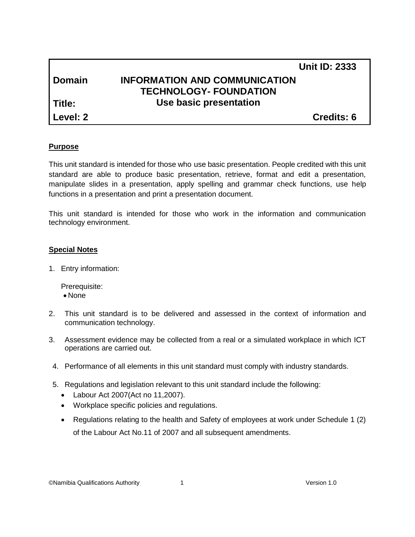|          | <b>Unit ID: 2333</b>                 |
|----------|--------------------------------------|
| l Domain | <b>INFORMATION AND COMMUNICATION</b> |
|          | <b>TECHNOLOGY- FOUNDATION</b>        |
| l Title: | Use basic presentation               |
| Level: 2 | <b>Credits: 6</b>                    |

#### **Purpose**

This unit standard is intended for those who use basic presentation. People credited with this unit standard are able to produce basic presentation, retrieve, format and edit a presentation, manipulate slides in a presentation, apply spelling and grammar check functions, use help functions in a presentation and print a presentation document.

This unit standard is intended for those who work in the information and communication technology environment.

#### **Special Notes**

1. Entry information:

Prerequisite: • None

- 2. This unit standard is to be delivered and assessed in the context of information and communication technology.
- 3. Assessment evidence may be collected from a real or a simulated workplace in which ICT operations are carried out.
- 4. Performance of all elements in this unit standard must comply with industry standards.
- 5. Regulations and legislation relevant to this unit standard include the following:
	- Labour Act 2007(Act no 11,2007).
	- Workplace specific policies and regulations.
	- Regulations relating to the health and Safety of employees at work under Schedule 1 (2) of the Labour Act No.11 of 2007 and all subsequent amendments.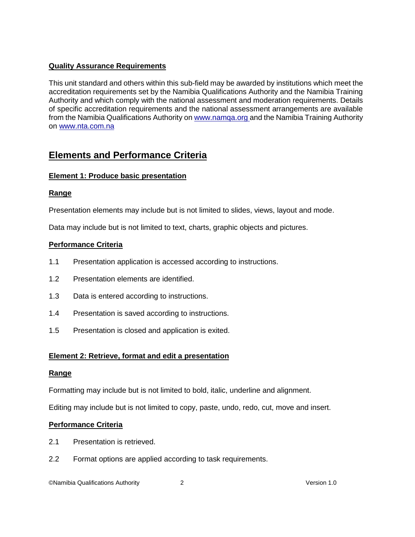## **Quality Assurance Requirements**

This unit standard and others within this sub-field may be awarded by institutions which meet the accreditation requirements set by the Namibia Qualifications Authority and the Namibia Training Authority and which comply with the national assessment and moderation requirements. Details of specific accreditation requirements and the national assessment arrangements are available from the Namibia Qualifications Authority o[n www.namqa.org a](http://www.namqa.org/)nd the Namibia Training Authority on [www.nta.com.na](http://www.nta.com.na/)

# **Elements and Performance Criteria**

## **Element 1: Produce basic presentation**

## **Range**

Presentation elements may include but is not limited to slides, views, layout and mode.

Data may include but is not limited to text, charts, graphic objects and pictures.

## **Performance Criteria**

- 1.1 Presentation application is accessed according to instructions.
- 1.2 Presentation elements are identified.
- 1.3 Data is entered according to instructions.
- 1.4 Presentation is saved according to instructions.
- 1.5 Presentation is closed and application is exited.

## **Element 2: Retrieve, format and edit a presentation**

## **Range**

Formatting may include but is not limited to bold, italic, underline and alignment.

Editing may include but is not limited to copy, paste, undo, redo, cut, move and insert.

## **Performance Criteria**

- 2.1 Presentation is retrieved.
- 2.2 Format options are applied according to task requirements.

©Namibia Qualifications Authority 2 Version 1.0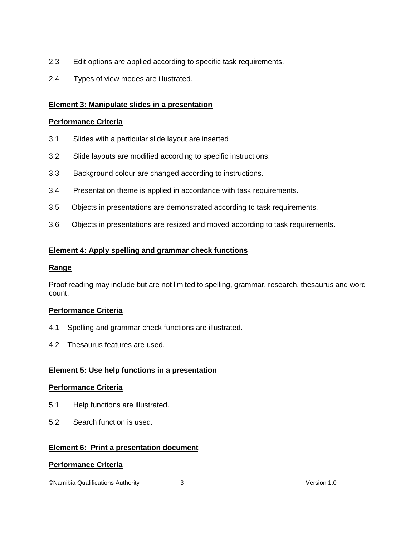- 2.3 Edit options are applied according to specific task requirements.
- 2.4 Types of view modes are illustrated.

## **Element 3: Manipulate slides in a presentation**

## **Performance Criteria**

- 3.1 Slides with a particular slide layout are inserted
- 3.2 Slide layouts are modified according to specific instructions.
- 3.3 Background colour are changed according to instructions.
- 3.4 Presentation theme is applied in accordance with task requirements.
- 3.5 Objects in presentations are demonstrated according to task requirements.
- 3.6 Objects in presentations are resized and moved according to task requirements.

## **Element 4: Apply spelling and grammar check functions**

## **Range**

Proof reading may include but are not limited to spelling, grammar, research, thesaurus and word count.

## **Performance Criteria**

- 4.1 Spelling and grammar check functions are illustrated.
- 4.2 Thesaurus features are used.

## **Element 5: Use help functions in a presentation**

## **Performance Criteria**

- 5.1 Help functions are illustrated.
- 5.2 Search function is used.

## **Element 6: Print a presentation document**

## **Performance Criteria**

©Namibia Qualifications Authority 3 Version 1.0